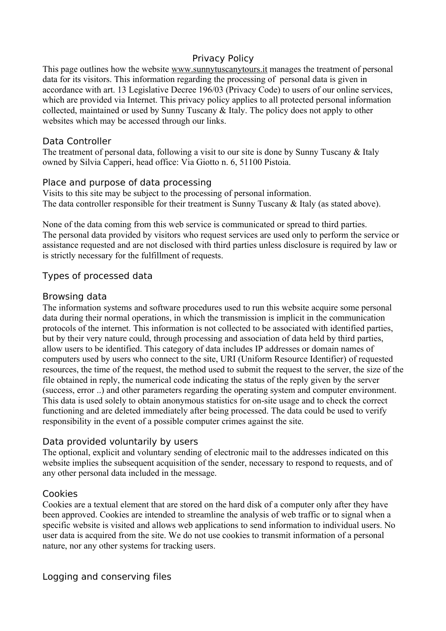## Privacy Policy

This page outlines how the website [www.sunnytuscanytours.it](http://www.sunnytuscanytours.it/) manages the treatment of personal data for its visitors. This information regarding the processing of personal data is given in accordance with art. 13 Legislative Decree 196/03 (Privacy Code) to users of our online services, which are provided via Internet. This privacy policy applies to all protected personal information collected, maintained or used by Sunny Tuscany & Italy. The policy does not apply to other websites which may be accessed through our links.

### Data Controller

The treatment of personal data, following a visit to our site is done by Sunny Tuscany & Italy owned by Silvia Capperi, head office: Via Giotto n. 6, 51100 Pistoia.

### Place and purpose of data processing

Visits to this site may be subject to the processing of personal information. The data controller responsible for their treatment is Sunny Tuscany & Italy (as stated above).

None of the data coming from this web service is communicated or spread to third parties. The personal data provided by visitors who request services are used only to perform the service or assistance requested and are not disclosed with third parties unless disclosure is required by law or is strictly necessary for the fulfillment of requests.

## Types of processed data

### Browsing data

The information systems and software procedures used to run this website acquire some personal data during their normal operations, in which the transmission is implicit in the communication protocols of the internet. This information is not collected to be associated with identified parties, but by their very nature could, through processing and association of data held by third parties, allow users to be identified. This category of data includes IP addresses or domain names of computers used by users who connect to the site, URI (Uniform Resource Identifier) of requested resources, the time of the request, the method used to submit the request to the server, the size of the file obtained in reply, the numerical code indicating the status of the reply given by the server (success, error ..) and other parameters regarding the operating system and computer environment. This data is used solely to obtain anonymous statistics for on-site usage and to check the correct functioning and are deleted immediately after being processed. The data could be used to verify responsibility in the event of a possible computer crimes against the site.

### Data provided voluntarily by users

The optional, explicit and voluntary sending of electronic mail to the addresses indicated on this website implies the subsequent acquisition of the sender, necessary to respond to requests, and of any other personal data included in the message.

## Cookies

Cookies are a textual element that are stored on the hard disk of a computer only after they have been approved. Cookies are intended to streamline the analysis of web traffic or to signal when a specific website is visited and allows web applications to send information to individual users. No user data is acquired from the site. We do not use cookies to transmit information of a personal nature, nor any other systems for tracking users.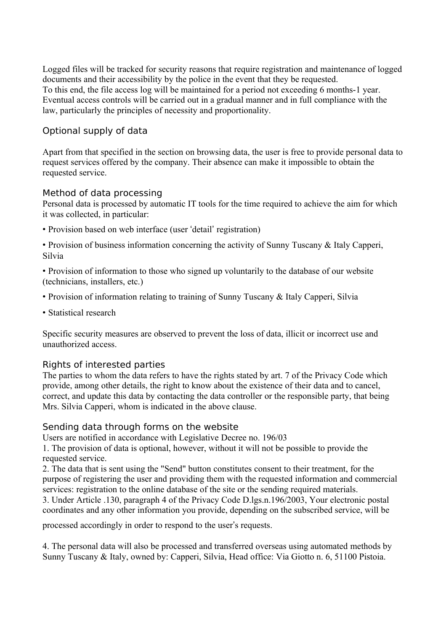Logged files will be tracked for security reasons that require registration and maintenance of logged documents and their accessibility by the police in the event that they be requested. To this end, the file access log will be maintained for a period not exceeding 6 months-1 year. Eventual access controls will be carried out in a gradual manner and in full compliance with the law, particularly the principles of necessity and proportionality.

# Optional supply of data

Apart from that specified in the section on browsing data, the user is free to provide personal data to request services offered by the company. Their absence can make it impossible to obtain the requested service.

## Method of data processing

Personal data is processed by automatic IT tools for the time required to achieve the aim for which it was collected, in particular:

• Provision based on web interface (user 'detail' registration)

• Provision of business information concerning the activity of Sunny Tuscany & Italy Capperi, Silvia

• Provision of information to those who signed up voluntarily to the database of our website (technicians, installers, etc.)

- Provision of information relating to training of Sunny Tuscany & Italy Capperi, Silvia
- Statistical research

Specific security measures are observed to prevent the loss of data, illicit or incorrect use and unauthorized access.

### Rights of interested parties

The parties to whom the data refers to have the rights stated by art. 7 of the Privacy Code which provide, among other details, the right to know about the existence of their data and to cancel, correct, and update this data by contacting the data controller or the responsible party, that being Mrs. Silvia Capperi, whom is indicated in the above clause.

### Sending data through forms on the website

Users are notified in accordance with Legislative Decree no. 196/03

1. The provision of data is optional, however, without it will not be possible to provide the requested service.

2. The data that is sent using the "Send" button constitutes consent to their treatment, for the purpose of registering the user and providing them with the requested information and commercial services: registration to the online database of the site or the sending required materials.

3. Under Article .130, paragraph 4 of the Privacy Code D.lgs.n.196/2003, Your electronic postal coordinates and any other information you provide, depending on the subscribed service, will be

processed accordingly in order to respond to the user's requests.

4. The personal data will also be processed and transferred overseas using automated methods by Sunny Tuscany & Italy, owned by: Capperi, Silvia, Head office: Via Giotto n. 6, 51100 Pistoia.